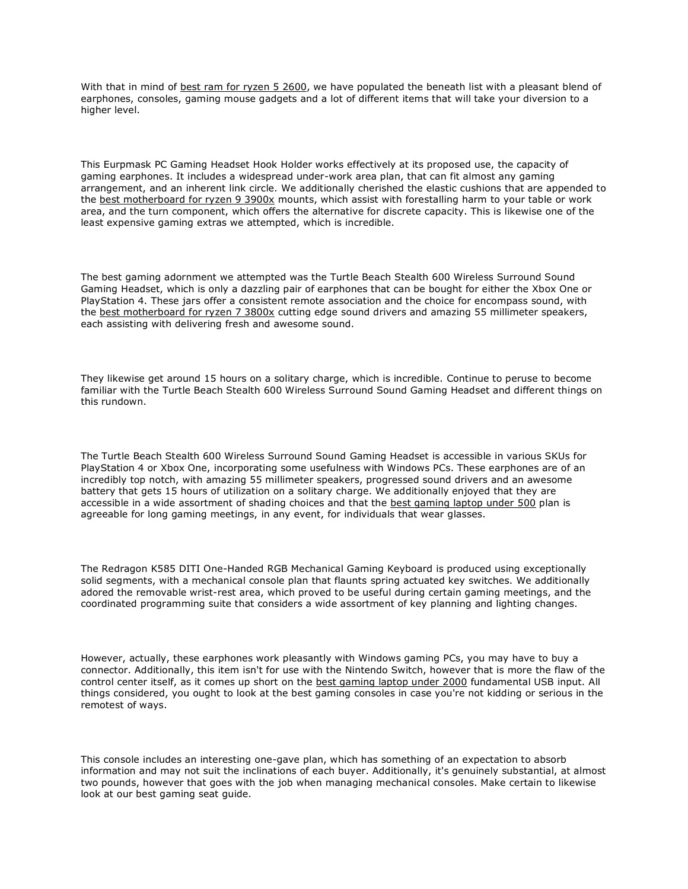With that in mind of **best ram for ryzen 5 2600**, we have populated the beneath list with a pleasant blend of earphones, consoles, gaming mouse gadgets and a lot of different items that will take your diversion to a higher level.

This Eurpmask PC Gaming Headset Hook Holder works effectively at its proposed use, the capacity of gaming earphones. It includes a widespread under-work area plan, that can fit almost any gaming arrangement, and an inherent link circle. We additionally cherished the elastic cushions that are appended to the [best motherboard for ryzen 9 3900x](https://dariusreviews.com/best-motherboard-for-ryzen-9-3900x/) mounts, which assist with forestalling harm to your table or work area, and the turn component, which offers the alternative for discrete capacity. This is likewise one of the least expensive gaming extras we attempted, which is incredible.

The best gaming adornment we attempted was the Turtle Beach Stealth 600 Wireless Surround Sound Gaming Headset, which is only a dazzling pair of earphones that can be bought for either the Xbox One or PlayStation 4. These jars offer a consistent remote association and the choice for encompass sound, with the [best motherboard for ryzen 7 3800x](https://dariusreviews.com/best-motherboard-for-ryzen-7-3800x/) cutting edge sound drivers and amazing 55 millimeter speakers, each assisting with delivering fresh and awesome sound.

They likewise get around 15 hours on a solitary charge, which is incredible. Continue to peruse to become familiar with the Turtle Beach Stealth 600 Wireless Surround Sound Gaming Headset and different things on this rundown.

The Turtle Beach Stealth 600 Wireless Surround Sound Gaming Headset is accessible in various SKUs for PlayStation 4 or Xbox One, incorporating some usefulness with Windows PCs. These earphones are of an incredibly top notch, with amazing 55 millimeter speakers, progressed sound drivers and an awesome battery that gets 15 hours of utilization on a solitary charge. We additionally enjoyed that they are accessible in a wide assortment of shading choices and that the [best gaming laptop under](https://dariusreviews.com/best-gaming-laptop-under-500/) 500 plan is agreeable for long gaming meetings, in any event, for individuals that wear glasses.

The Redragon K585 DITI One-Handed RGB Mechanical Gaming Keyboard is produced using exceptionally solid segments, with a mechanical console plan that flaunts spring actuated key switches. We additionally adored the removable wrist-rest area, which proved to be useful during certain gaming meetings, and the coordinated programming suite that considers a wide assortment of key planning and lighting changes.

However, actually, these earphones work pleasantly with Windows gaming PCs, you may have to buy a connector. Additionally, this item isn't for use with the Nintendo Switch, however that is more the flaw of the control center itself, as it comes up short on the [best gaming laptop under 2000](https://dariusreviews.com/top-5-gaming-laptop-deals/) fundamental USB input. All things considered, you ought to look at the best gaming consoles in case you're not kidding or serious in the remotest of ways.

This console includes an interesting one-gave plan, which has something of an expectation to absorb information and may not suit the inclinations of each buyer. Additionally, it's genuinely substantial, at almost two pounds, however that goes with the job when managing mechanical consoles. Make certain to likewise look at our best gaming seat guide.